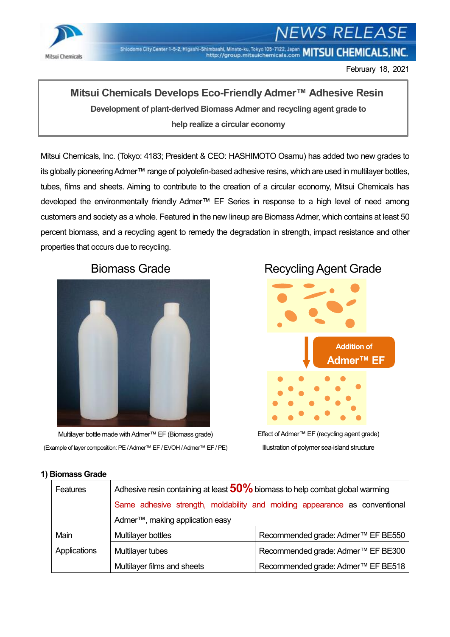

# 'S RELEASE

Shiodome City Center 1-5-2, Higashi-Shimbashi, Minato-ku, Tokyo 105-7122, Japan MITSUI CHEMICALS, INC.

February 18, 2021

## **Mitsui Chemicals Develops Eco-Friendly Admer™ Adhesive Resin**

**Development of plant-derived Biomass Admer and recycling agent grade to help realize a circular economy**

Mitsui Chemicals, Inc. (Tokyo: 4183; President & CEO: HASHIMOTO Osamu) has added two new grades to its globally pioneering Admer™ range of polyolefin-based adhesive resins, which are used in multilayer bottles, tubes, films and sheets. Aiming to contribute to the creation of a circular economy, Mitsui Chemicals has developed the environmentally friendly Admer™ EF Series in response to a high level of need among customers and society as a whole. Featured in the new lineup are Biomass Admer, which contains at least 50 percent biomass, and a recycling agent to remedy the degradation in strength, impact resistance and other properties that occurs due to recycling.



Multilayer bottle made with Admer™ EF (Biomass grade) (Example of layer composition: PE / Admer™ EF / EVOH / Admer™ EF / PE)

# Biomass Grade Recycling Agent Grade



Effect of Admer™ EF (recycling agent grade) Illustration of polymer sea-island structure

| Features     | Adhesive resin containing at least $50\%$ biomass to help combat global warming |                                                |
|--------------|---------------------------------------------------------------------------------|------------------------------------------------|
|              | Same adhesive strength, moldability and molding appearance as conventional      |                                                |
|              | Admer <sup>™</sup> , making application easy                                    |                                                |
| Main         | Multilayer bottles                                                              | Recommended grade: Admer <sup>™</sup> EF BE550 |
| Applications | Multilayer tubes                                                                | Recommended grade: Admer <sup>™</sup> EF BE300 |
|              | Multilayer films and sheets                                                     | Recommended grade: Admer™ EF BE518             |

#### **1) Biomass Grade**